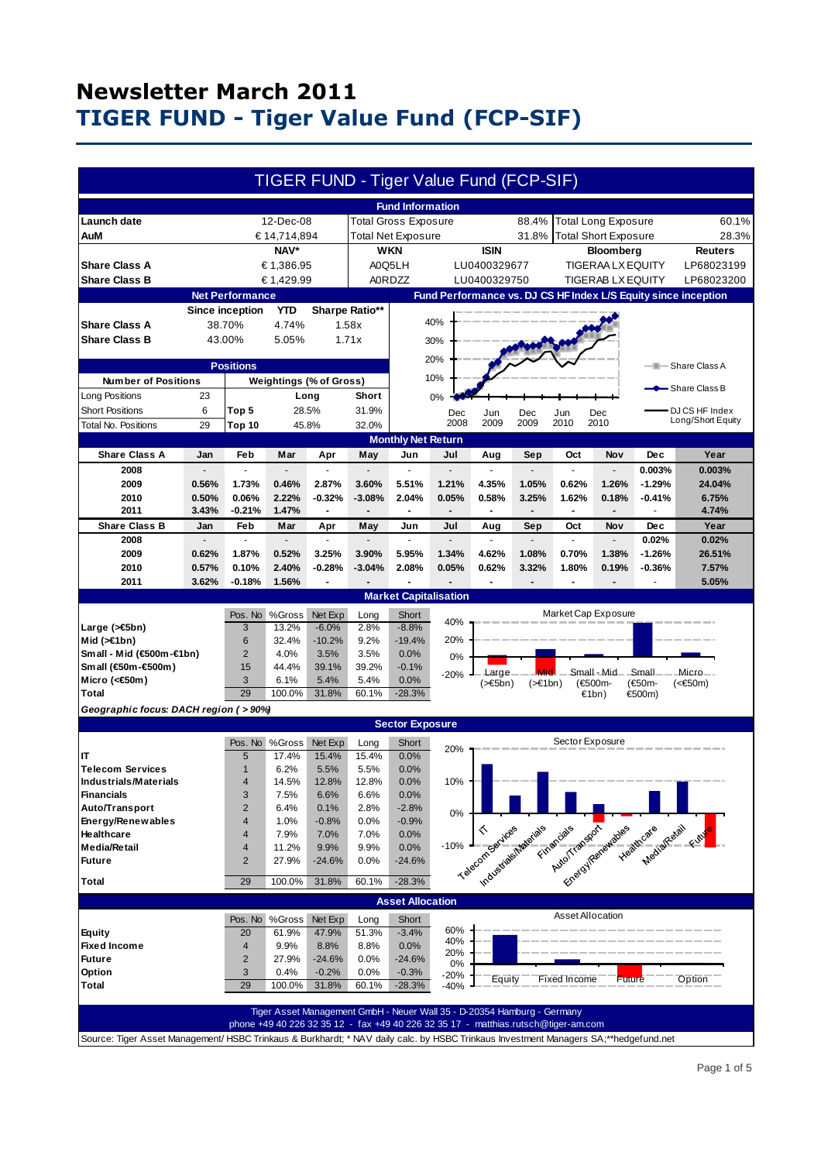|                                                                                                                                     |                |                         |                      |                                      |                                          |                             | TIGER FUND - Tiger Value Fund (FCP-SIF)                                            |                                       |                              |                     |                             |                                                                                                                                                                                                                                |                                                                |
|-------------------------------------------------------------------------------------------------------------------------------------|----------------|-------------------------|----------------------|--------------------------------------|------------------------------------------|-----------------------------|------------------------------------------------------------------------------------|---------------------------------------|------------------------------|---------------------|-----------------------------|--------------------------------------------------------------------------------------------------------------------------------------------------------------------------------------------------------------------------------|----------------------------------------------------------------|
|                                                                                                                                     |                |                         |                      |                                      |                                          | <b>Fund Information</b>     |                                                                                    |                                       |                              |                     |                             |                                                                                                                                                                                                                                |                                                                |
| Launch date                                                                                                                         |                |                         | 12-Dec-08            |                                      |                                          | <b>Total Gross Exposure</b> |                                                                                    |                                       | 88.4%                        |                     | <b>Total Long Exposure</b>  |                                                                                                                                                                                                                                | 60.1%                                                          |
| AuM                                                                                                                                 |                |                         | € 14,714,894<br>NAV* |                                      |                                          | <b>Total Net Exposure</b>   |                                                                                    | <b>ISIN</b>                           | 31.8%                        |                     | <b>Total Short Exposure</b> |                                                                                                                                                                                                                                | 28.3%<br><b>Reuters</b>                                        |
| <b>Share Class A</b>                                                                                                                | € 1,386.95     |                         |                      | <b>WKN</b><br>LU0400329677<br>A0Q5LH |                                          |                             |                                                                                    | Bloomberg<br><b>TIGERAA LX EQUITY</b> |                              |                     |                             | LP68023199                                                                                                                                                                                                                     |                                                                |
| <b>Share Class B</b>                                                                                                                | € 1,429.99     |                         | <b>A0RDZZ</b>        |                                      | LU0400329750<br><b>TIGERAB LX EQUITY</b> |                             |                                                                                    | LP68023200                            |                              |                     |                             |                                                                                                                                                                                                                                |                                                                |
|                                                                                                                                     |                | <b>Net Performance</b>  |                      |                                      |                                          |                             |                                                                                    |                                       |                              |                     |                             |                                                                                                                                                                                                                                | Fund Performance vs. DJ CS HF Index L/S Equity since inception |
|                                                                                                                                     |                | <b>Since inception</b>  | <b>YTD</b>           |                                      | Sharpe Ratio**                           |                             |                                                                                    |                                       |                              |                     |                             |                                                                                                                                                                                                                                |                                                                |
| <b>Share Class A</b>                                                                                                                | 38.70%         |                         | 4.74%                |                                      | 1.58x                                    |                             | 40%                                                                                |                                       |                              |                     |                             |                                                                                                                                                                                                                                |                                                                |
| <b>Share Class B</b>                                                                                                                | 43.00%         |                         | 5.05%                |                                      | 1.71x<br>30%                             |                             |                                                                                    |                                       |                              |                     |                             |                                                                                                                                                                                                                                |                                                                |
| <b>Positions</b>                                                                                                                    |                |                         |                      |                                      | 20%<br>—IIII— Share Class A              |                             |                                                                                    |                                       |                              |                     |                             |                                                                                                                                                                                                                                |                                                                |
| <b>Number of Positions</b><br>Weightings (% of Gross)                                                                               |                |                         |                      | 10%                                  |                                          |                             |                                                                                    |                                       |                              |                     |                             |                                                                                                                                                                                                                                |                                                                |
| Long Positions                                                                                                                      | 23             |                         |                      | Long                                 |                                          | 0%                          |                                                                                    |                                       |                              |                     |                             |                                                                                                                                                                                                                                | -Share Class B                                                 |
| <b>Short Positions</b>                                                                                                              | 6              | 28.5%<br>Top 5          |                      |                                      | <b>Short</b><br>31.9%                    | Dec                         |                                                                                    | Jun<br>Dec<br>Jun<br>Dec              |                              |                     | DJ CS HF Index              |                                                                                                                                                                                                                                |                                                                |
| Total No. Positions                                                                                                                 | 29             | Top 10                  |                      | 45.8%                                | 32.0%                                    |                             | 2008                                                                               | 2009                                  | 2009                         | 2010                | 2010                        |                                                                                                                                                                                                                                | Long/Short Equity                                              |
|                                                                                                                                     |                |                         |                      |                                      |                                          | <b>Monthly Net Return</b>   |                                                                                    |                                       |                              |                     |                             |                                                                                                                                                                                                                                |                                                                |
| <b>Share Class A</b>                                                                                                                | Jan            | Feb                     | Mar                  | Apr                                  | May                                      | Jun                         | Jul                                                                                | Aug                                   | Sep                          | Oct                 | Nov                         | <b>Dec</b>                                                                                                                                                                                                                     | Year                                                           |
| 2008                                                                                                                                |                | $\overline{a}$          |                      | $\overline{a}$                       |                                          | ÷.                          |                                                                                    |                                       | $\overline{a}$               | $\overline{a}$      |                             | 0.003%                                                                                                                                                                                                                         | 0.003%                                                         |
| 2009                                                                                                                                | 0.56%          | 1.73%                   | 0.46%                | 2.87%                                | 3.60%                                    | 5.51%                       | 1.21%                                                                              | 4.35%                                 | 1.05%                        | 0.62%               | 1.26%                       | $-1.29%$                                                                                                                                                                                                                       | 24.04%                                                         |
| 2010                                                                                                                                | 0.50%          | 0.06%                   | 2.22%                | $-0.32%$                             | $-3.08%$                                 | 2.04%                       | 0.05%                                                                              | 0.58%                                 | 3.25%                        | 1.62%               | 0.18%                       | $-0.41%$                                                                                                                                                                                                                       | 6.75%                                                          |
| 2011                                                                                                                                | 3.43%          | $-0.21%$                | 1.47%                | $\blacksquare$                       |                                          | $\blacksquare$              | $\blacksquare$                                                                     | $\blacksquare$                        | $\qquad \qquad \blacksquare$ | $\blacksquare$      | $\overline{\phantom{a}}$    | ÷                                                                                                                                                                                                                              | 4.74%                                                          |
| <b>Share Class B</b>                                                                                                                | Jan            | <b>Feb</b>              | Mar                  | Apr                                  | May                                      | Jun                         | Jul                                                                                | Aug                                   | Sep                          | Oct                 | Nov                         | <b>Dec</b>                                                                                                                                                                                                                     | Year                                                           |
| 2008                                                                                                                                |                | ä,                      |                      |                                      |                                          |                             |                                                                                    |                                       |                              |                     |                             | 0.02%                                                                                                                                                                                                                          | 0.02%                                                          |
| 2009                                                                                                                                | 0.62%          | 1.87%                   | 0.52%                | 3.25%                                | 3.90%                                    | 5.95%                       | 1.34%                                                                              | 4.62%                                 | 1.08%                        | 0.70%               | 1.38%                       | $-1.26%$                                                                                                                                                                                                                       | 26.51%                                                         |
| 2010<br>2011                                                                                                                        | 0.57%<br>3.62% | 0.10%                   | 2.40%<br>1.56%       | $-0.28%$                             | $-3.04%$                                 | 2.08%                       | 0.05%                                                                              | 0.62%                                 | 3.32%                        | 1.80%               | 0.19%                       | $-0.36%$                                                                                                                                                                                                                       | 7.57%                                                          |
|                                                                                                                                     |                | $-0.18%$                |                      |                                      |                                          |                             |                                                                                    |                                       |                              |                     |                             |                                                                                                                                                                                                                                | 5.05%                                                          |
| <b>Market Capitalisation</b>                                                                                                        |                |                         |                      |                                      |                                          |                             |                                                                                    |                                       |                              |                     |                             |                                                                                                                                                                                                                                |                                                                |
|                                                                                                                                     |                | Pos. No                 | %Gross<br>13.2%      | Net Exp<br>$-6.0%$                   | Long<br>2.8%                             | Short<br>$-8.8%$            | 40%                                                                                |                                       |                              |                     | Market Cap Exposure         |                                                                                                                                                                                                                                |                                                                |
| Large (>€5bn)<br>Mid $($ > $\in$ 1bn)                                                                                               |                | 3<br>6                  | 32.4%                | $-10.2%$                             | 9.2%                                     | $-19.4%$                    | 20%                                                                                |                                       |                              |                     |                             |                                                                                                                                                                                                                                |                                                                |
| Small - Mid (€500m-€1bn)                                                                                                            |                | $\overline{2}$          | 4.0%                 | 3.5%                                 | 3.5%                                     | 0.0%                        | 0%                                                                                 |                                       |                              |                     |                             |                                                                                                                                                                                                                                |                                                                |
| Small (€50m-€500m)                                                                                                                  |                | 15                      | 44.4%                | 39.1%                                | 39.2%                                    | $-0.1%$                     |                                                                                    | Large                                 |                              |                     | Small-Mid                   | Small                                                                                                                                                                                                                          | Micro-                                                         |
| Micro (<€50m)                                                                                                                       |                | 3                       | 6.1%                 | 5.4%                                 | 5.4%                                     | 0.0%                        | $-20%$                                                                             | $($ >€5bn)                            | $(>=1bn)$                    |                     | (€500m-                     | (€50m-                                                                                                                                                                                                                         | (<€50m)                                                        |
| Total                                                                                                                               |                | 29                      | 100.0%               | 31.8%                                | 60.1%                                    | $-28.3%$                    |                                                                                    |                                       |                              |                     | €1bn)                       | €500m)                                                                                                                                                                                                                         |                                                                |
| Geographic focus: DACH region ( > 90%)                                                                                              |                |                         |                      |                                      |                                          |                             |                                                                                    |                                       |                              |                     |                             |                                                                                                                                                                                                                                |                                                                |
|                                                                                                                                     |                |                         |                      |                                      |                                          | <b>Sector Exposure</b>      |                                                                                    |                                       |                              |                     |                             |                                                                                                                                                                                                                                |                                                                |
|                                                                                                                                     |                | Pos. No                 | %Gross               | Net Exp                              | Long                                     | Short                       | 20%                                                                                |                                       |                              | Sector Exposure     |                             |                                                                                                                                                                                                                                |                                                                |
| IT                                                                                                                                  |                | 5                       | 17.4%                | 15.4%                                | 15.4%                                    | 0.0%                        |                                                                                    |                                       |                              |                     |                             |                                                                                                                                                                                                                                |                                                                |
| <b>Telecom Services</b>                                                                                                             |                | $\mathbf{1}$            | 6.2%                 | 5.5%                                 | 5.5%                                     | 0.0%                        |                                                                                    |                                       |                              |                     |                             |                                                                                                                                                                                                                                |                                                                |
| Industrials/Materials<br><b>Financials</b>                                                                                          |                | 4<br>3                  | 14.5%<br>7.5%        | 12.8%<br>6.6%                        | 12.8%<br>6.6%                            | $0.0\%$<br>0.0%             | 10%                                                                                |                                       |                              |                     |                             |                                                                                                                                                                                                                                |                                                                |
| Auto/Transport                                                                                                                      |                | $\overline{2}$          | 6.4%                 | 0.1%                                 | 2.8%                                     | $-2.8%$                     |                                                                                    |                                       |                              |                     |                             |                                                                                                                                                                                                                                |                                                                |
| Energy/Renewables                                                                                                                   |                | $\overline{4}$          | 1.0%                 | $-0.8%$                              | 0.0%                                     | $-0.9%$                     | 0%                                                                                 |                                       |                              |                     |                             |                                                                                                                                                                                                                                |                                                                |
| Healthcare                                                                                                                          |                | 4                       | 7.9%                 | 7.0%                                 | 7.0%                                     | 0.0%                        |                                                                                    |                                       |                              |                     |                             |                                                                                                                                                                                                                                |                                                                |
| <b>Media/Retail</b>                                                                                                                 |                | 4                       | 11.2%                | 9.9%                                 | 9.9%                                     | 0.0%                        | $-10%$                                                                             |                                       |                              |                     |                             |                                                                                                                                                                                                                                |                                                                |
| <b>Future</b>                                                                                                                       |                | $\overline{2}$          | 27.9%                | $-24.6%$                             | 0.0%                                     | $-24.6%$                    |                                                                                    | Telecom services                      |                              |                     |                             |                                                                                                                                                                                                                                |                                                                |
| Total                                                                                                                               |                | 29                      | 100.0%               | 31.8%                                | 60.1%                                    | $-28.3%$                    |                                                                                    | Industrial Interesting                |                              |                     |                             | Financial Transformation Residence of the design of the state of the state of the state of the state of the state of the state of the state of the state of the state of the state of the state of the state of the state of t |                                                                |
|                                                                                                                                     |                |                         |                      |                                      |                                          | <b>Asset Allocation</b>     |                                                                                    |                                       |                              |                     |                             |                                                                                                                                                                                                                                |                                                                |
|                                                                                                                                     |                | Pos. No                 | %Gross               | Net Exp                              | Long                                     | Short                       |                                                                                    |                                       |                              | Asset Allocation    |                             |                                                                                                                                                                                                                                |                                                                |
| <b>Equity</b>                                                                                                                       |                | 20                      | 61.9%                | 47.9%                                | 51.3%                                    | $-3.4%$                     | 60%                                                                                |                                       |                              |                     |                             |                                                                                                                                                                                                                                |                                                                |
| <b>Fixed Income</b>                                                                                                                 |                | $\overline{\mathbf{4}}$ | 9.9%                 | 8.8%                                 | 8.8%                                     | 0.0%                        | 40%<br>20%                                                                         |                                       |                              |                     |                             |                                                                                                                                                                                                                                |                                                                |
| <b>Future</b>                                                                                                                       |                | $\overline{2}$          | 27.9%                | $-24.6%$                             | 0.0%                                     | $-24.6%$                    | 0%                                                                                 |                                       |                              |                     |                             |                                                                                                                                                                                                                                |                                                                |
| Option<br><b>Total</b>                                                                                                              |                | 3<br>29                 | 0.4%<br>100.0%       | $-0.2%$<br>31.8%                     | 0.0%                                     | $-0.3%$                     | $-20%$                                                                             | Equity                                |                              | <b>Fixed Income</b> | <b>Future</b>               |                                                                                                                                                                                                                                | Option                                                         |
|                                                                                                                                     |                |                         |                      |                                      | 60.1%                                    | $-28.3%$                    | $-40%$                                                                             |                                       |                              |                     |                             |                                                                                                                                                                                                                                |                                                                |
|                                                                                                                                     |                |                         |                      |                                      |                                          |                             | Tiger Asset Management GmbH - Neuer Wall 35 - D-20354 Hamburg - Germany            |                                       |                              |                     |                             |                                                                                                                                                                                                                                |                                                                |
|                                                                                                                                     |                |                         |                      |                                      |                                          |                             | phone +49 40 226 32 35 12 - fax +49 40 226 32 35 17 - matthias.rutsch@tiger-am.com |                                       |                              |                     |                             |                                                                                                                                                                                                                                |                                                                |
| Source: Tiger Asset Management/HSBC Trinkaus & Burkhardt; * NAV daily calc. by HSBC Trinkaus Investment Managers SA;**hedgefund.net |                |                         |                      |                                      |                                          |                             |                                                                                    |                                       |                              |                     |                             |                                                                                                                                                                                                                                |                                                                |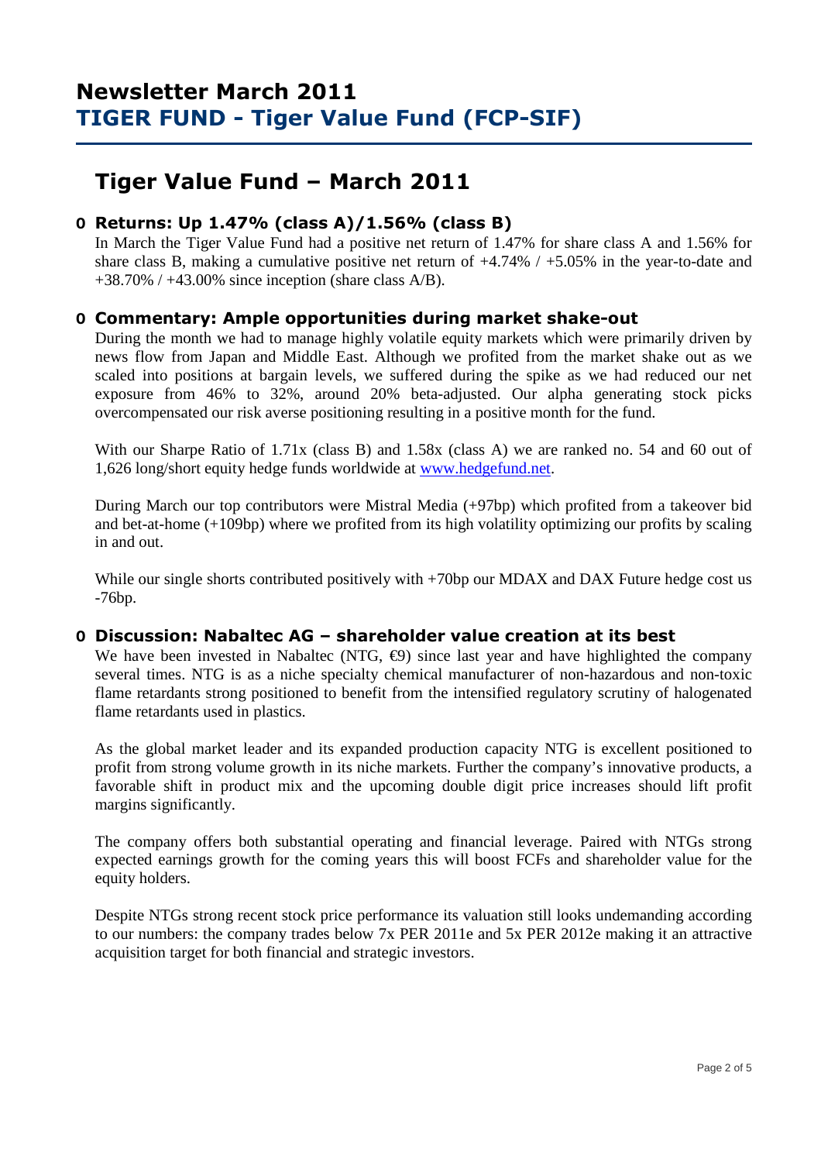## **Tiger Value Fund – March 2011**

## **O Returns: Up 1.47% (class A)/1.56% (class B)**

 In March the Tiger Value Fund had a positive net return of 1.47% for share class A and 1.56% for share class B, making a cumulative positive net return of +4.74% / +5.05% in the year-to-date and  $+38.70\%$  /  $+43.00\%$  since inception (share class A/B).

## **O Commentary: Ample opportunities during market shake-out**

During the month we had to manage highly volatile equity markets which were primarily driven by news flow from Japan and Middle East. Although we profited from the market shake out as we scaled into positions at bargain levels, we suffered during the spike as we had reduced our net exposure from 46% to 32%, around 20% beta-adjusted. Our alpha generating stock picks overcompensated our risk averse positioning resulting in a positive month for the fund.

With our Sharpe Ratio of 1.71x (class B) and 1.58x (class A) we are ranked no. 54 and 60 out of 1,626 long/short equity hedge funds worldwide at www.hedgefund.net.

During March our top contributors were Mistral Media (+97bp) which profited from a takeover bid and bet-at-home  $(+109$ bp) where we profited from its high volatility optimizing our profits by scaling in and out.

While our single shorts contributed positively with  $+70$ bp our MDAX and DAX Future hedge cost us -76bp.

### **O Discussion: Nabaltec AG – shareholder value creation at its best**

We have been invested in Nabaltec (NTG,  $\epsilon$ 9) since last year and have highlighted the company several times. NTG is as a niche specialty chemical manufacturer of non-hazardous and non-toxic flame retardants strong positioned to benefit from the intensified regulatory scrutiny of halogenated flame retardants used in plastics.

As the global market leader and its expanded production capacity NTG is excellent positioned to profit from strong volume growth in its niche markets. Further the company's innovative products, a favorable shift in product mix and the upcoming double digit price increases should lift profit margins significantly.

The company offers both substantial operating and financial leverage. Paired with NTGs strong expected earnings growth for the coming years this will boost FCFs and shareholder value for the equity holders.

Despite NTGs strong recent stock price performance its valuation still looks undemanding according to our numbers: the company trades below 7x PER 2011e and 5x PER 2012e making it an attractive acquisition target for both financial and strategic investors.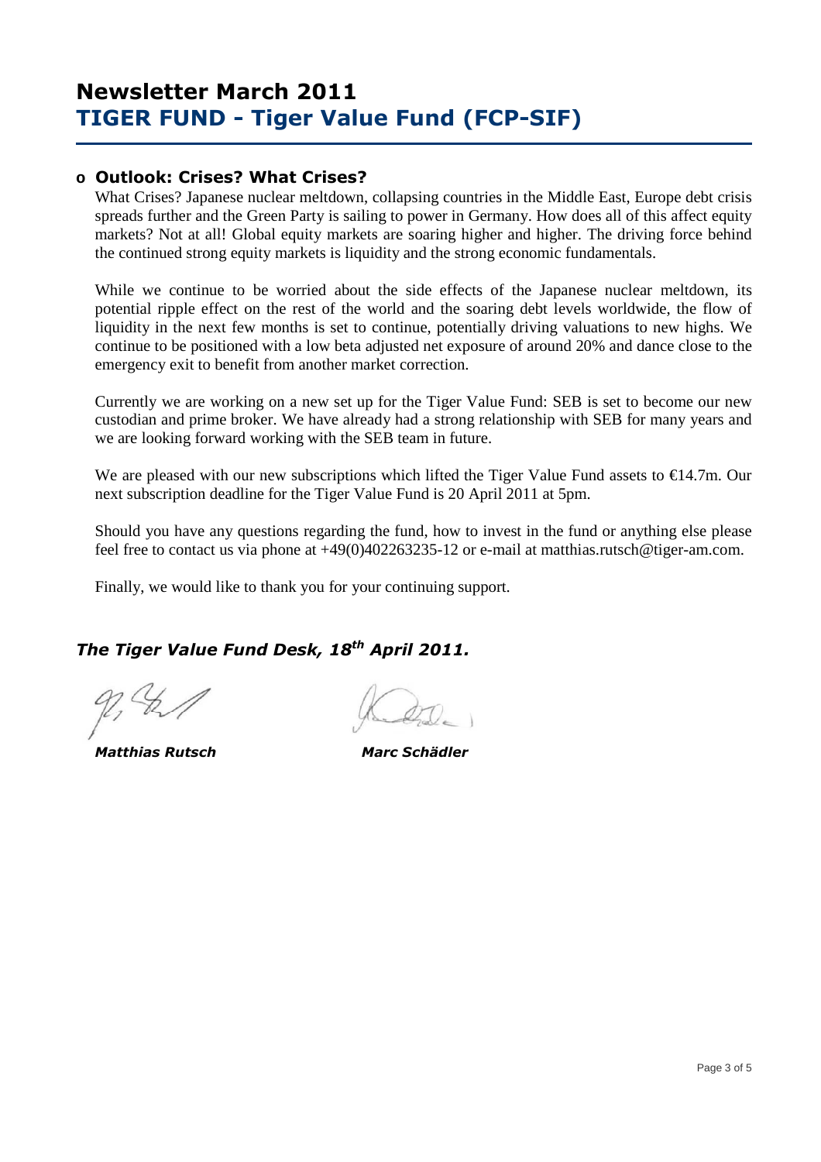## **o Outlook: Crises? What Crises?**

What Crises? Japanese nuclear meltdown, collapsing countries in the Middle East, Europe debt crisis spreads further and the Green Party is sailing to power in Germany. How does all of this affect equity markets? Not at all! Global equity markets are soaring higher and higher. The driving force behind the continued strong equity markets is liquidity and the strong economic fundamentals.

While we continue to be worried about the side effects of the Japanese nuclear meltdown, its potential ripple effect on the rest of the world and the soaring debt levels worldwide, the flow of liquidity in the next few months is set to continue, potentially driving valuations to new highs. We continue to be positioned with a low beta adjusted net exposure of around 20% and dance close to the emergency exit to benefit from another market correction.

Currently we are working on a new set up for the Tiger Value Fund: SEB is set to become our new custodian and prime broker. We have already had a strong relationship with SEB for many years and we are looking forward working with the SEB team in future.

We are pleased with our new subscriptions which lifted the Tiger Value Fund assets to €14.7m. Our next subscription deadline for the Tiger Value Fund is 20 April 2011 at 5pm.

Should you have any questions regarding the fund, how to invest in the fund or anything else please feel free to contact us via phone at +49(0)402263235-12 or e-mail at matthias.rutsch@tiger-am.com.

Finally, we would like to thank you for your continuing support.

## *The Tiger Value Fund Desk, 18th April 2011.*

 *Matthias Rutsch Marc Schädler*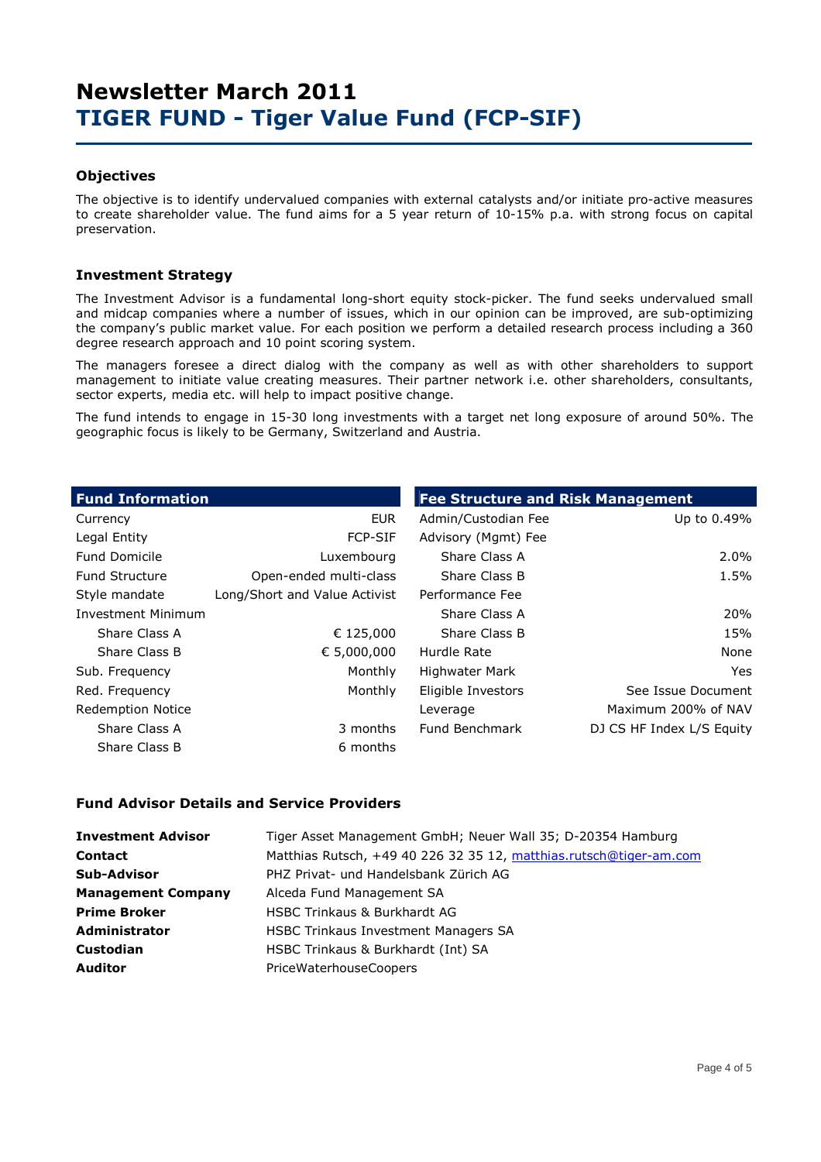### **Objectives**

The objective is to identify undervalued companies with external catalysts and/or initiate pro-active measures to create shareholder value. The fund aims for a 5 year return of 10-15% p.a. with strong focus on capital preservation.

### **Investment Strategy**

The Investment Advisor is a fundamental long-short equity stock-picker. The fund seeks undervalued small and midcap companies where a number of issues, which in our opinion can be improved, are sub-optimizing the company's public market value. For each position we perform a detailed research process including a 360 degree research approach and 10 point scoring system.

The managers foresee a direct dialog with the company as well as with other shareholders to support management to initiate value creating measures. Their partner network i.e. other shareholders, consultants, sector experts, media etc. will help to impact positive change.

The fund intends to engage in 15-30 long investments with a target net long exposure of around 50%. The geographic focus is likely to be Germany, Switzerland and Austria.

| <b>Fund Information</b>   |                               | <b>Fee Structure and Risk Management</b> |                           |  |  |  |  |
|---------------------------|-------------------------------|------------------------------------------|---------------------------|--|--|--|--|
| Currency                  | <b>EUR</b>                    | Admin/Custodian Fee                      | Up to 0.49%               |  |  |  |  |
| Legal Entity              | <b>FCP-SIF</b>                | Advisory (Mgmt) Fee                      |                           |  |  |  |  |
| <b>Fund Domicile</b>      | Luxembourg                    | Share Class A                            | 2.0%                      |  |  |  |  |
| <b>Fund Structure</b>     | Open-ended multi-class        | Share Class B                            | 1.5%                      |  |  |  |  |
| Style mandate             | Long/Short and Value Activist | Performance Fee                          |                           |  |  |  |  |
| <b>Investment Minimum</b> |                               | Share Class A                            | 20%                       |  |  |  |  |
| Share Class A             | € 125,000                     | Share Class B                            | 15%                       |  |  |  |  |
| Share Class B             | € 5,000,000                   | Hurdle Rate                              | None                      |  |  |  |  |
| Sub. Frequency            | Monthly                       | Highwater Mark                           | Yes.                      |  |  |  |  |
| Red. Frequency            | Monthly                       | Eligible Investors                       | See Issue Document        |  |  |  |  |
| <b>Redemption Notice</b>  |                               | Leverage                                 | Maximum 200% of NAV       |  |  |  |  |
| Share Class A             | 3 months                      | Fund Benchmark                           | DJ CS HF Index L/S Equity |  |  |  |  |
| Share Class B             | 6 months                      |                                          |                           |  |  |  |  |

### **Fund Advisor Details and Service Providers**

| <b>Investment Advisor</b> | Tiger Asset Management GmbH; Neuer Wall 35; D-20354 Hamburg        |
|---------------------------|--------------------------------------------------------------------|
| <b>Contact</b>            | Matthias Rutsch, +49 40 226 32 35 12, matthias.rutsch@tiger-am.com |
| <b>Sub-Advisor</b>        | PHZ Privat- und Handelsbank Zürich AG                              |
| <b>Management Company</b> | Alceda Fund Management SA                                          |
| <b>Prime Broker</b>       | <b>HSBC Trinkaus &amp; Burkhardt AG</b>                            |
| Administrator             | <b>HSBC Trinkaus Investment Managers SA</b>                        |
| Custodian                 | HSBC Trinkaus & Burkhardt (Int) SA                                 |
| <b>Auditor</b>            | PriceWaterhouseCoopers                                             |